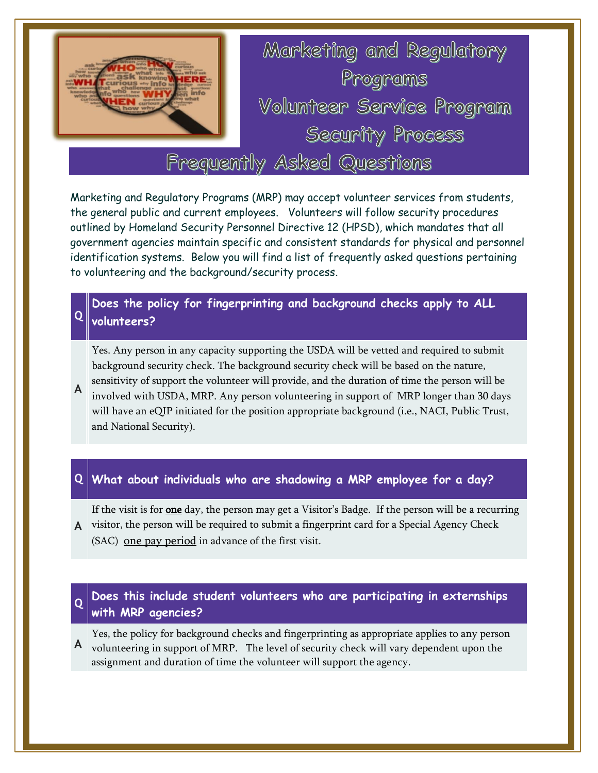

Marketing and Regulatory Programs (MRP) may accept volunteer services from students, the general public and current employees. Volunteers will follow security procedures outlined by Homeland Security Personnel Directive 12 (HPSD), which mandates that all government agencies maintain specific and consistent standards for physical and personnel identification systems. Below you will find a list of frequently asked questions pertaining to volunteering and the background/security process.

## **Q volunteers? Does the policy for fingerprinting and background checks apply to ALL**

Yes. Any person in any capacity supporting the USDA will be vetted and required to submit background security check. The background security check will be based on the nature, sensitivity of support the volunteer will provide, and the duration of time the person will be

**A** involved with USDA, MRP. Any person volunteering in support of MRP longer than 30 days will have an eQIP initiated for the position appropriate background (i.e., NACI, Public Trust, and National Security).

## **Q What about individuals who are shadowing a MRP employee for a day?**

**A** visitor, the person will be required to submit a fingerprint card for a Special Agency Check If the visit is for **one** day, the person may get a Visitor's Badge. If the person will be a recurring (SAC) one pay period in advance of the first visit.

### **Q Does this include student volunteers who are participating in externships with MRP agencies?**

**A** volunteering in support of MRP. The level of security check will vary dependent upon the Yes, the policy for background checks and fingerprinting as appropriate applies to any person assignment and duration of time the volunteer will support the agency.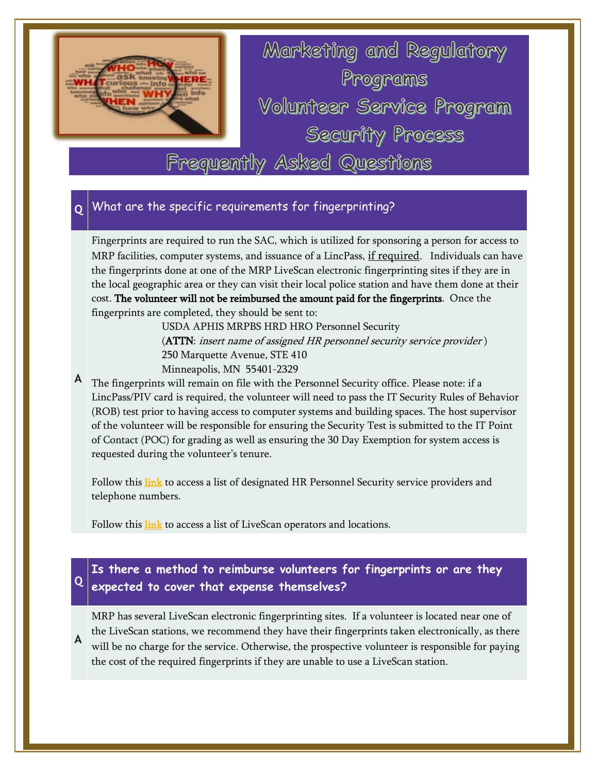

## **Q** What are the specific requirements for fingerprinting?

Fingerprints are required to run the SAC, which is utilized for sponsoring a person for access to MRP facilities, computer systems, and issuance of a LincPass, if required. Individuals can have the fingerprints done at one of the MRP LiveScan electronic fingerprinting sites if they are in the local geographic area or they can visit their local police station and have them done at their cost. The volunteer will not be reimbursed the amount paid for the fingerprints. Once the fingerprints are completed, they should be sent to:

> USDA APHIS MRPBS HRD HRO Personnel Security (ATTN: insert name of assigned HR personnel security service provider ) 250 Marquette Avenue, STE 410 Minneapolis, MN 55401-2329

**A** The fingerprints will remain on file with the Personnel Security office. Please note: if a LincPass/PIV card is required, the volunteer will need to pass the IT Security Rules of Behavior (ROB) test prior to having access to computer systems and building spaces. The host supervisor of the volunteer will be responsible for ensuring the Security Test is submitted to the IT Point of Contact (POC) for grading as well as ensuring the 30 Day Exemption for system access is requested during the volunteer's tenure.

Follow this **link** to access a list of designated HR Personnel Security service providers and telephone numbers.

Follow this [link](https://www.aphis.usda.gov/mrpbs/hr/downloads/LiveScan-Operator-List.pdf) to access a list of LiveScan operators and locations.

## **Q expected to cover that expense themselves? Is there a method to reimburse volunteers for fingerprints or are they**

**A** MRP has several LiveScan electronic fingerprinting sites. If a volunteer is located near one of the LiveScan stations, we recommend they have their fingerprints taken electronically, as there will be no charge for the service. Otherwise, the prospective volunteer is responsible for paying the cost of the required fingerprints if they are unable to use a LiveScan station.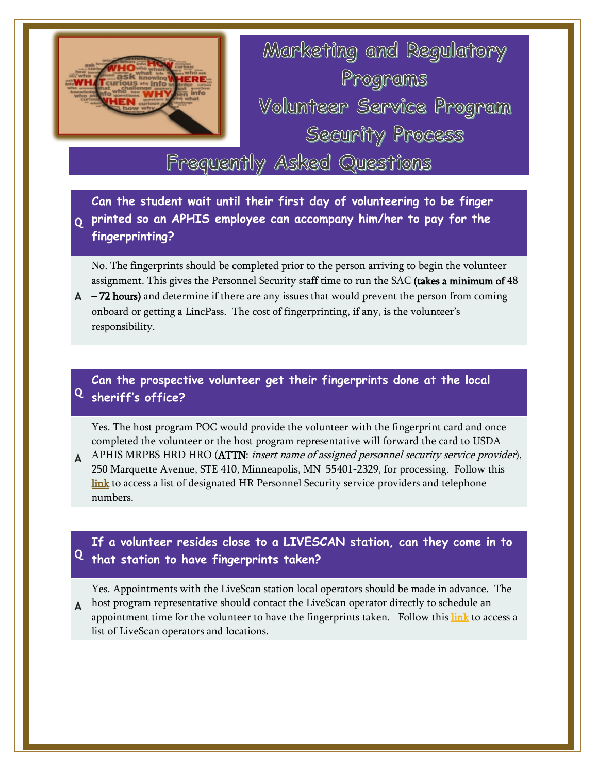

Marketing and Regulatory Programs Volunteer Service Program Security Process

# Frequently Asked Questions

**Q printed so an APHIS employee can accompany him/her to pay for the Can the student wait until their first day of volunteering to be finger fingerprinting?** 

No. The fingerprints should be completed prior to the person arriving to begin the volunteer assignment. This gives the Personnel Security staff time to run the SAC (takes a minimum of 48

**A** – 72 hours) and determine if there are any issues that would prevent the person from coming onboard or getting a LincPass. The cost of fingerprinting, if any, is the volunteer's responsibility.

## **Q sheriff's office? Can the prospective volunteer get their fingerprints done at the local**

Yes. The host program POC would provide the volunteer with the fingerprint card and once completed the volunteer or the host program representative will forward the card to USDA

**A** APHIS MRPBS HRD HRO (ATTN: insert name of assigned personnel security service provider), 250 Marquette Avenue, STE 410, Minneapolis, MN 55401-2329, for processing. Follow this [link](https://www.aphis.usda.gov/mrpbs/contact_us/downloads/PSS_Program_Assignments.pdf) to access a list of designated HR Personnel Security service providers and telephone numbers.

## **Q that station to have fingerprints taken? If a volunteer resides close to a LIVESCAN station, can they come in to**

Yes. Appointments with the LiveScan station local operators should be made in advance. The

**A** host program representative should contact the LiveScan operator directly to schedule an appointment time for the volunteer to have the fingerprints taken. Follow this [link](https://www.aphis.usda.gov/mrpbs/hr/downloads/LiveScan-Operator-List.pdf) to access a list of LiveScan operators and locations.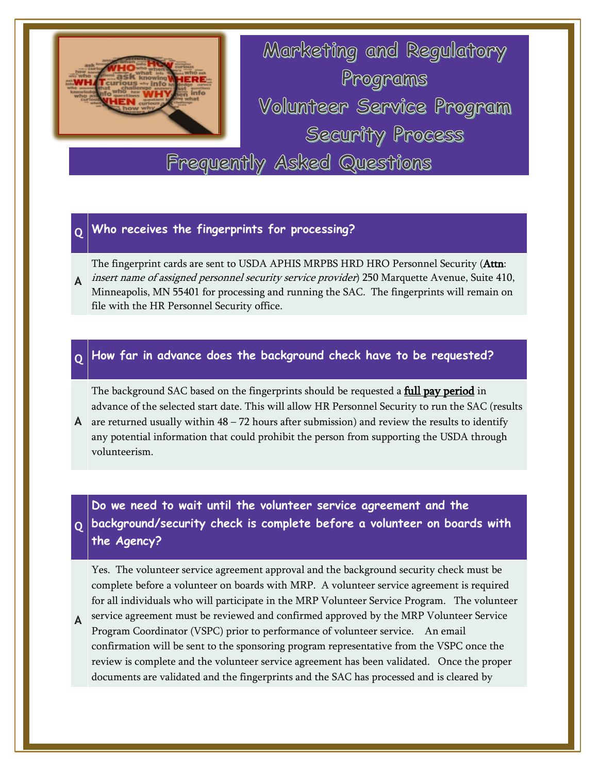

Marketing and Regulatory Programs Volunteer Service Program Security Process Frequently Asked Questions

**Q Who receives the fingerprints for processing?**

The fingerprint cards are sent to USDA APHIS MRPBS HRD HRO Personnel Security (Attn:

**A** insert name of assigned personnel security service provider) 250 Marquette Avenue, Suite 410, Minneapolis, MN 55401 for processing and running the SAC. The fingerprints will remain on file with the HR Personnel Security office.

## **Q How far in advance does the background check have to be requested?**

The background SAC based on the fingerprints should be requested a **full pay period** in advance of the selected start date. This will allow HR Personnel Security to run the SAC (results

A are returned usually within  $48 - 72$  hours after submission) and review the results to identify any potential information that could prohibit the person from supporting the USDA through volunteerism.

**Q background/security check is complete before a volunteer on boards with Do we need to wait until the volunteer service agreement and the the Agency?**

Yes. The volunteer service agreement approval and the background security check must be complete before a volunteer on boards with MRP. A volunteer service agreement is required for all individuals who will participate in the MRP Volunteer Service Program. The volunteer

**A** service agreement must be reviewed and confirmed approved by the MRP Volunteer Service Program Coordinator (VSPC) prior to performance of volunteer service. An email confirmation will be sent to the sponsoring program representative from the VSPC once the review is complete and the volunteer service agreement has been validated. Once the proper documents are validated and the fingerprints and the SAC has processed and is cleared by